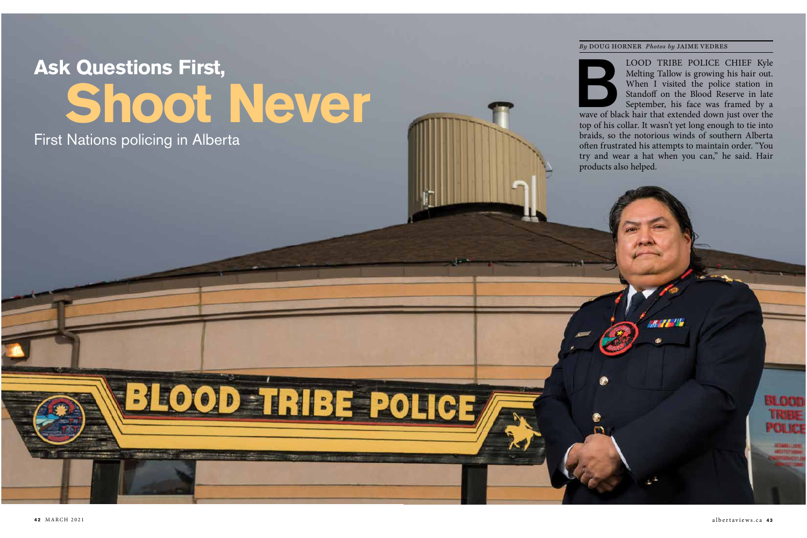# **Ask Questions First, Shoot Never**

BLOOD TRIBE POLICE

First Nations policing in Alberta

#### *By* DOUG HORNER *Photos by* JAIME VEDRES

LOOD TRIBE POLICE CHIEF Kyle<br>
Melting Tallow is growing his hair out.<br>
When I visited the police station in<br>
Standoff on the Blood Reserve in late<br>
September, his face was framed by a<br>
wave of black hair that extended down Melting Tallow is growing his hair out. When I visited the police station in Standoff on the Blood Reserve in late September, his face was framed by a

top of his collar. It wasn't yet long enough to tie into braids, so the notorious winds of southern Alberta often frustrated his attempts to maintain order. "You try and wear a hat when you can," he said. Hair products also helped.

BL OCT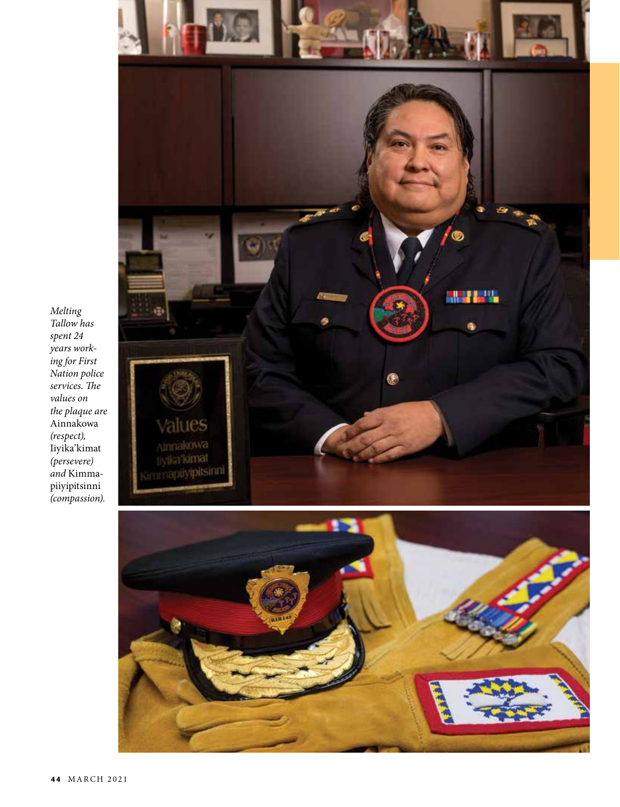

*Melting Tallow has spent 24 years working for First Nation police services. The values on the plaque are*  Ainnakowa *(respect),*  Iiyika'kimat *(persevere) and* Kimmapiiyipitsinni *(compassion).*

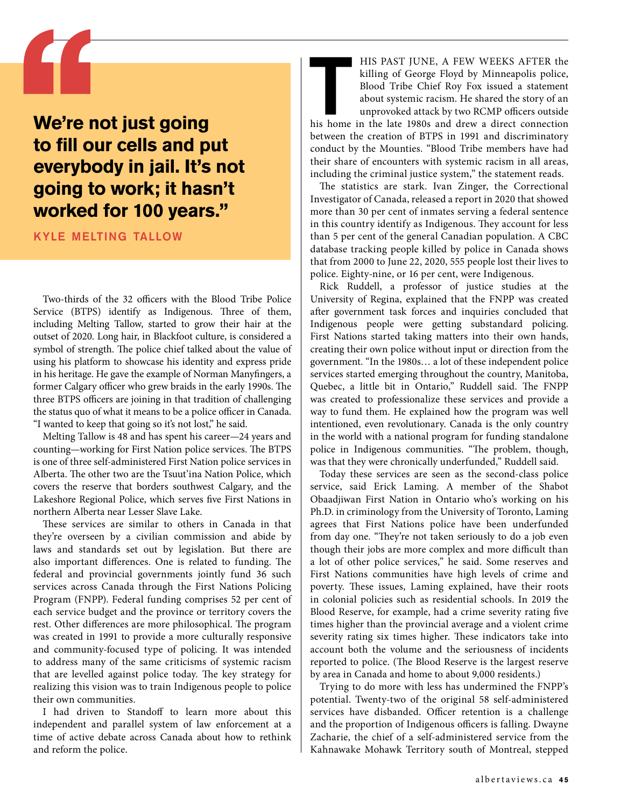## **We're not just going to fill our cells and put everybody in jail. It's not going to work; it hasn't worked for 100 years."**

kyle melting tallow

Two-thirds of the 32 officers with the Blood Tribe Police Service (BTPS) identify as Indigenous. Three of them, including Melting Tallow, started to grow their hair at the outset of 2020. Long hair, in Blackfoot culture, is considered a symbol of strength. The police chief talked about the value of using his platform to showcase his identity and express pride in his heritage. He gave the example of Norman Manyfingers, a former Calgary officer who grew braids in the early 1990s. The three BTPS officers are joining in that tradition of challenging the status quo of what it means to be a police officer in Canada. "I wanted to keep that going so it's not lost," he said.

Melting Tallow is 48 and has spent his career—24 years and counting—working for First Nation police services. The BTPS is one of three self-administered First Nation police services in Alberta. The other two are the Tsuut'ina Nation Police, which covers the reserve that borders southwest Calgary, and the Lakeshore Regional Police, which serves five First Nations in northern Alberta near Lesser Slave Lake.

These services are similar to others in Canada in that they're overseen by a civilian commission and abide by laws and standards set out by legislation. But there are also important differences. One is related to funding. The federal and provincial governments jointly fund 36 such services across Canada through the First Nations Policing Program (FNPP). Federal funding comprises 52 per cent of each service budget and the province or territory covers the rest. Other differences are more philosophical. The program was created in 1991 to provide a more culturally responsive and community-focused type of policing. It was intended to address many of the same criticisms of systemic racism that are levelled against police today. The key strategy for realizing this vision was to train Indigenous people to police their own communities.

I had driven to Standoff to learn more about this independent and parallel system of law enforcement at a time of active debate across Canada about how to rethink and reform the police.

HIS PAST JUNE, A FEW WEEKS AFTER the killing of George Floyd by Minneapolis police, Blood Tribe Chief Roy Fox issued a statement about systemic racism. He shared the story of an unprovoked attack by two RCMP officers outsi killing of George Floyd by Minneapolis police, Blood Tribe Chief Roy Fox issued a statement about systemic racism. He shared the story of an unprovoked attack by two RCMP officers outside between the creation of BTPS in 1991 and discriminatory conduct by the Mounties. "Blood Tribe members have had their share of encounters with systemic racism in all areas,

including the criminal justice system," the statement reads. The statistics are stark. Ivan Zinger, the Correctional Investigator of Canada, released a report in 2020 that showed more than 30 per cent of inmates serving a federal sentence in this country identify as Indigenous. They account for less than 5 per cent of the general Canadian population. A CBC database tracking people killed by police in Canada shows that from 2000 to June 22, 2020, 555 people lost their lives to police. Eighty-nine, or 16 per cent, were Indigenous.

Rick Ruddell, a professor of justice studies at the University of Regina, explained that the FNPP was created after government task forces and inquiries concluded that Indigenous people were getting substandard policing. First Nations started taking matters into their own hands, creating their own police without input or direction from the government. "In the 1980s… a lot of these independent police services started emerging throughout the country, Manitoba, Quebec, a little bit in Ontario," Ruddell said. The FNPP was created to professionalize these services and provide a way to fund them. He explained how the program was well intentioned, even revolutionary. Canada is the only country in the world with a national program for funding standalone police in Indigenous communities. "The problem, though, was that they were chronically underfunded," Ruddell said.

Today these services are seen as the second-class police service, said Erick Laming. A member of the Shabot Obaadjiwan First Nation in Ontario who's working on his Ph.D. in criminology from the University of Toronto, Laming agrees that First Nations police have been underfunded from day one. "They're not taken seriously to do a job even though their jobs are more complex and more difficult than a lot of other police services," he said. Some reserves and First Nations communities have high levels of crime and poverty. These issues, Laming explained, have their roots in colonial policies such as residential schools. In 2019 the Blood Reserve, for example, had a crime severity rating five times higher than the provincial average and a violent crime severity rating six times higher. These indicators take into account both the volume and the seriousness of incidents reported to police. (The Blood Reserve is the largest reserve by area in Canada and home to about 9,000 residents.)

Trying to do more with less has undermined the FNPP's potential. Twenty-two of the original 58 self-administered services have disbanded. Officer retention is a challenge and the proportion of Indigenous officers is falling. Dwayne Zacharie, the chief of a self-administered service from the Kahnawake Mohawk Territory south of Montreal, stepped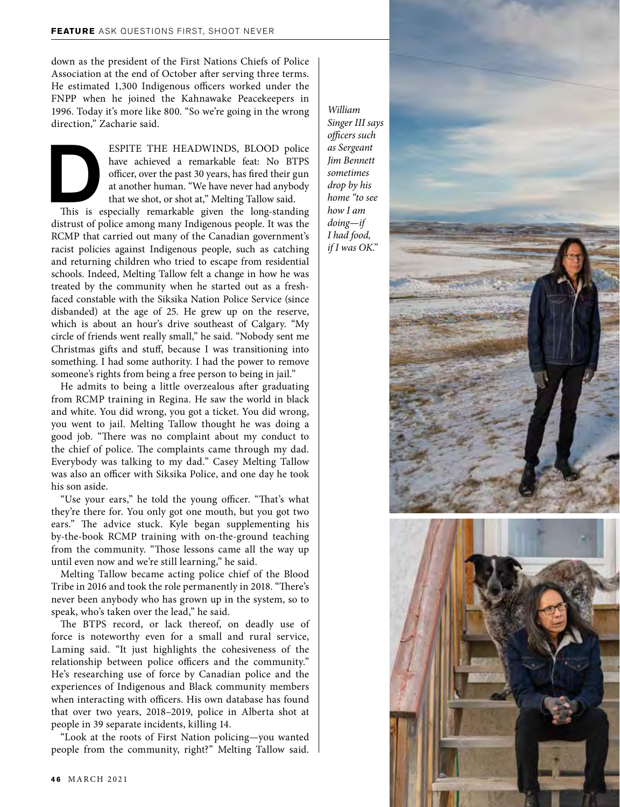down as the president of the First Nations Chiefs of Police Association at the end of October after serving three terms. He estimated 1,300 Indigenous officers worked under the FNPP when he joined the Kahnawake Peacekeepers in 1996. Today it's more like 800. "So we're going in the wrong direction," Zacharie said.

ESPITE THE HEADWINDS, BLOOD police<br>have achieved a remarkable feat: No BTPS<br>officer, over the past 30 years, has fired their gun<br>at another human. "We have never had anybody<br>that we shot, or shot at," Melting Tallow said.<br> have achieved a remarkable feat: No BTPS officer, over the past 30 years, has fired their gun at another human. "We have never had anybody that we shot, or shot at," Melting Tallow said.

distrust of police among many Indigenous people. It was the RCMP that carried out many of the Canadian government's racist policies against Indigenous people, such as catching and returning children who tried to escape from residential schools. Indeed, Melting Tallow felt a change in how he was treated by the community when he started out as a freshfaced constable with the Siksika Nation Police Service (since disbanded) at the age of 25. He grew up on the reserve, which is about an hour's drive southeast of Calgary. "My circle of friends went really small," he said. "Nobody sent me Christmas gifts and stuff, because I was transitioning into something. I had some authority. I had the power to remove someone's rights from being a free person to being in jail."

He admits to being a little overzealous after graduating from RCMP training in Regina. He saw the world in black and white. You did wrong, you got a ticket. You did wrong, you went to jail. Melting Tallow thought he was doing a good job. "There was no complaint about my conduct to the chief of police. The complaints came through my dad. Everybody was talking to my dad." Casey Melting Tallow was also an officer with Siksika Police, and one day he took his son aside.

"Use your ears," he told the young officer. "That's what they're there for. You only got one mouth, but you got two ears." The advice stuck. Kyle began supplementing his by-the-book RCMP training with on-the-ground teaching from the community. "Those lessons came all the way up until even now and we're still learning," he said.

Melting Tallow became acting police chief of the Blood Tribe in 2016 and took the role permanently in 2018. "There's never been anybody who has grown up in the system, so to speak, who's taken over the lead," he said.

The BTPS record, or lack thereof, on deadly use of force is noteworthy even for a small and rural service, Laming said. "It just highlights the cohesiveness of the relationship between police officers and the community." He's researching use of force by Canadian police and the experiences of Indigenous and Black community members when interacting with officers. His own database has found that over two years, 2018–2019, police in Alberta shot at people in 39 separate incidents, killing 14.

"Look at the roots of First Nation policing—you wanted people from the community, right?" Melting Tallow said.

*William Singer III says officers such as Sergeant Jim Bennett sometimes drop by his home "to see how I am doing—if I had food, if I was OK."*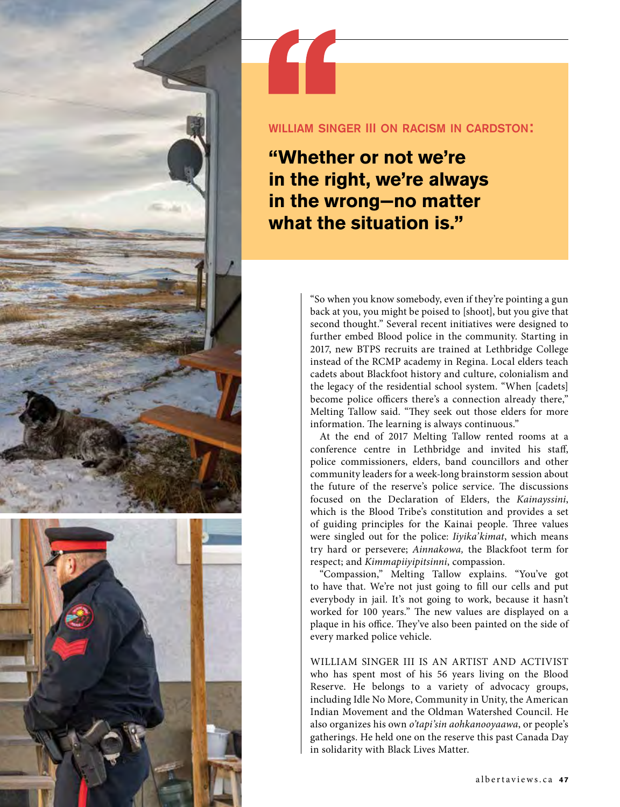

#### william singer III on racism in cardston:

**"Whether or not we're in the right, we're always in the wrong−no matter what the situation is."** 

> "So when you know somebody, even if they're pointing a gun back at you, you might be poised to [shoot], but you give that second thought." Several recent initiatives were designed to further embed Blood police in the community. Starting in 2017, new BTPS recruits are trained at Lethbridge College instead of the RCMP academy in Regina. Local elders teach cadets about Blackfoot history and culture, colonialism and the legacy of the residential school system. "When [cadets] become police officers there's a connection already there," Melting Tallow said. "They seek out those elders for more information. The learning is always continuous."

> At the end of 2017 Melting Tallow rented rooms at a conference centre in Lethbridge and invited his staff, police commissioners, elders, band councillors and other community leaders for a week-long brainstorm session about the future of the reserve's police service. The discussions focused on the Declaration of Elders, the *Kainayssini*, which is the Blood Tribe's constitution and provides a set of guiding principles for the Kainai people. Three values were singled out for the police: *Iiyika'kimat*, which means try hard or persevere; *Ainnakowa,* the Blackfoot term for respect; and *Kimmapiiyipitsinni*, compassion.

> "Compassion," Melting Tallow explains. "You've got to have that. We're not just going to fill our cells and put everybody in jail. It's not going to work, because it hasn't worked for 100 years." The new values are displayed on a plaque in his office. They've also been painted on the side of every marked police vehicle.

> WILLIAM SINGER III IS AN ARTIST AND ACTIVIST who has spent most of his 56 years living on the Blood Reserve. He belongs to a variety of advocacy groups, including Idle No More, Community in Unity, the American Indian Movement and the Oldman Watershed Council. He also organizes his own *o'tapi'sin aohkanooyaawa*, or people's gatherings. He held one on the reserve this past Canada Day in solidarity with Black Lives Matter.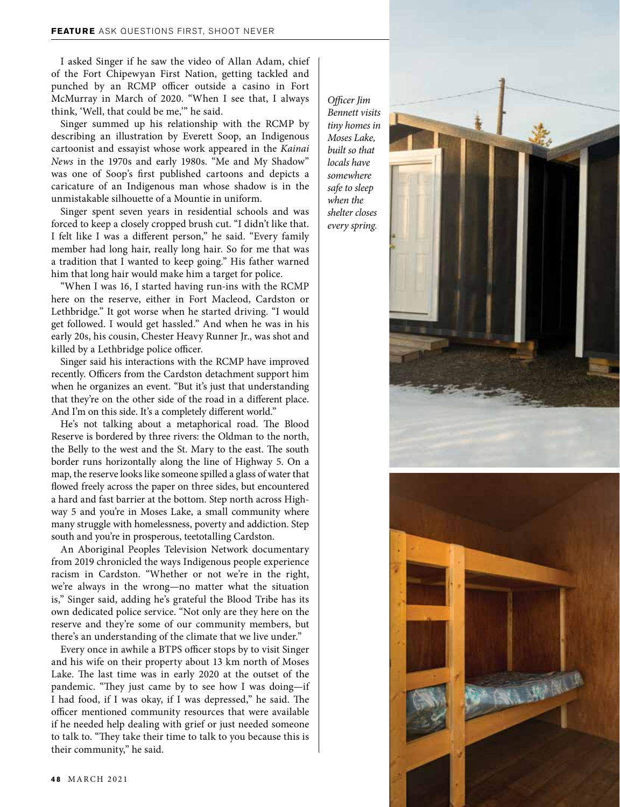I asked Singer if he saw the video of Allan Adam, chief of the Fort Chipewyan First Nation, getting tackled and punched by an RCMP officer outside a casino in Fort McMurray in March of 2020. "When I see that, I always think, 'Well, that could be me,'" he said.

Singer summed up his relationship with the RCMP by describing an illustration by Everett Soop, an Indigenous cartoonist and essayist whose work appeared in the *Kainai News* in the 1970s and early 1980s. "Me and My Shadow" was one of Soop's first published cartoons and depicts a caricature of an Indigenous man whose shadow is in the unmistakable silhouette of a Mountie in uniform.

Singer spent seven years in residential schools and was forced to keep a closely cropped brush cut. "I didn't like that. I felt like I was a different person," he said. "Every family member had long hair, really long hair. So for me that was a tradition that I wanted to keep going." His father warned him that long hair would make him a target for police.

"When I was 16, I started having run-ins with the RCMP here on the reserve, either in Fort Macleod, Cardston or Lethbridge." It got worse when he started driving. "I would get followed. I would get hassled." And when he was in his early 20s, his cousin, Chester Heavy Runner Jr., was shot and killed by a Lethbridge police officer.

Singer said his interactions with the RCMP have improved recently. Officers from the Cardston detachment support him when he organizes an event. "But it's just that understanding that they're on the other side of the road in a different place. And I'm on this side. It's a completely different world."

He's not talking about a metaphorical road. The Blood Reserve is bordered by three rivers: the Oldman to the north, the Belly to the west and the St. Mary to the east. The south border runs horizontally along the line of Highway 5. On a map, the reserve looks like someone spilled a glass of water that flowed freely across the paper on three sides, but encountered a hard and fast barrier at the bottom. Step north across Highway 5 and you're in Moses Lake, a small community where many struggle with homelessness, poverty and addiction. Step south and you're in prosperous, teetotalling Cardston.

An Aboriginal Peoples Television Network documentary from 2019 chronicled the ways Indigenous people experience racism in Cardston. "Whether or not we're in the right, we're always in the wrong—no matter what the situation is," Singer said, adding he's grateful the Blood Tribe has its own dedicated police service. "Not only are they here on the reserve and they're some of our community members, but there's an understanding of the climate that we live under."

Every once in awhile a BTPS officer stops by to visit Singer and his wife on their property about 13 km north of Moses Lake. The last time was in early 2020 at the outset of the pandemic. "They just came by to see how I was doing—if I had food, if I was okay, if I was depressed," he said. The officer mentioned community resources that were available if he needed help dealing with grief or just needed someone to talk to. "They take their time to talk to you because this is their community," he said.

*Officer Jim Bennett visits tiny homes in Moses Lake, built so that locals have somewhere safe to sleep when the shelter closes every spring.*



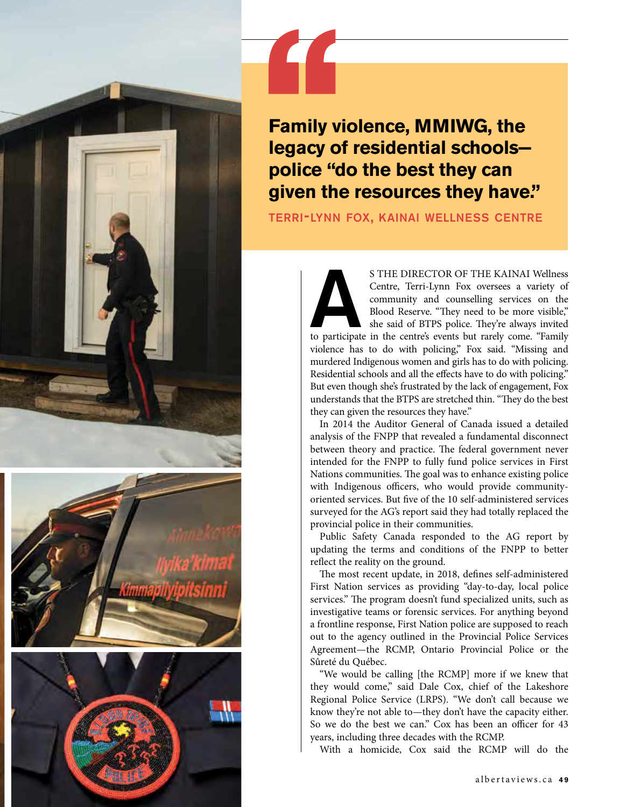

terri-lynn fox, kainai wellness centre

S THE DIRECTOR OF THE KAINAI Wellness<br>Centre, Terri-Lynn Fox oversees a variety of<br>community and counselling services on the<br>Blood Reserve. "They need to be more visible,"<br>she said of BTPS police. They're always invited<br>to Centre, Terri-Lynn Fox oversees a variety of community and counselling services on the Blood Reserve. "They need to be more visible," she said of BTPS police. They're always invited violence has to do with policing," Fox said. "Missing and murdered Indigenous women and girls has to do with policing. Residential schools and all the effects have to do with policing." But even though she's frustrated by the lack of engagement, Fox understands that the BTPS are stretched thin. "They do the best they can given the resources they have."

In 2014 the Auditor General of Canada issued a detailed analysis of the FNPP that revealed a fundamental disconnect between theory and practice. The federal government never intended for the FNPP to fully fund police services in First Nations communities. The goal was to enhance existing police with Indigenous officers, who would provide communityoriented services. But five of the 10 self-administered services surveyed for the AG's report said they had totally replaced the provincial police in their communities.

Public Safety Canada responded to the AG report by updating the terms and conditions of the FNPP to better reflect the reality on the ground.

The most recent update, in 2018, defines self-administered First Nation services as providing "day-to-day, local police services." The program doesn't fund specialized units, such as investigative teams or forensic services. For anything beyond a frontline response, First Nation police are supposed to reach out to the agency outlined in the Provincial Police Services Agreement—the RCMP, Ontario Provincial Police or the Sûreté du Québec.

"We would be calling [the RCMP] more if we knew that they would come," said Dale Cox, chief of the Lakeshore Regional Police Service (LRPS). "We don't call because we know they're not able to—they don't have the capacity either. So we do the best we can." Cox has been an officer for 43 years, including three decades with the RCMP.

With a homicide, Cox said the RCMP will do the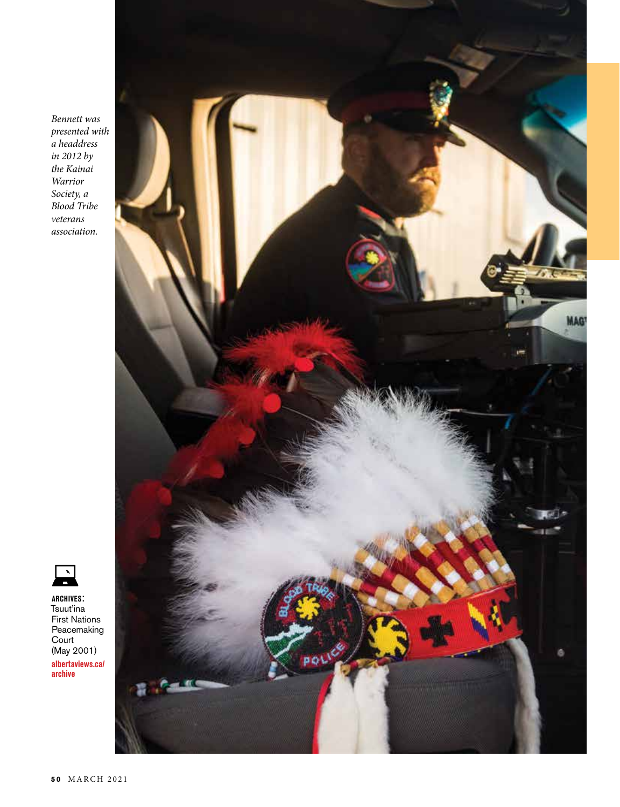*Bennett was presented with a headdress in 2012 by the Kainai Warrior Society, a Blood Tribe veterans association.*





**albertaviews.ca/ archives**: Tsuut'ina First Nations Peacemaking Court (May 2001)

**archive**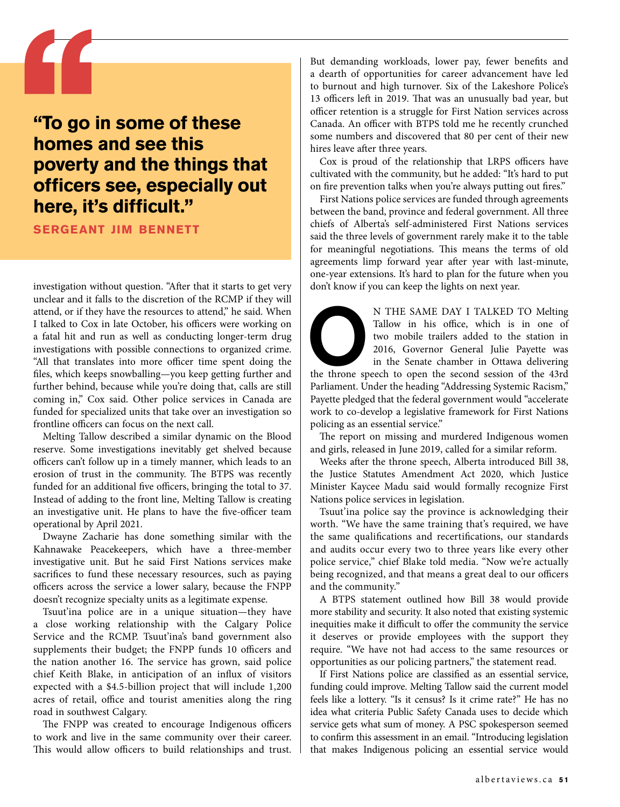### **"To go in some of these homes and see this poverty and the things that officers see, especially out here, it's difficult."**

**sergeant jim bennett**

investigation without question. "After that it starts to get very unclear and it falls to the discretion of the RCMP if they will attend, or if they have the resources to attend," he said. When I talked to Cox in late October, his officers were working on a fatal hit and run as well as conducting longer-term drug investigations with possible connections to organized crime. "All that translates into more officer time spent doing the files, which keeps snowballing—you keep getting further and further behind, because while you're doing that, calls are still coming in," Cox said. Other police services in Canada are funded for specialized units that take over an investigation so frontline officers can focus on the next call.

Melting Tallow described a similar dynamic on the Blood reserve. Some investigations inevitably get shelved because officers can't follow up in a timely manner, which leads to an erosion of trust in the community. The BTPS was recently funded for an additional five officers, bringing the total to 37. Instead of adding to the front line, Melting Tallow is creating an investigative unit. He plans to have the five-officer team operational by April 2021.

Dwayne Zacharie has done something similar with the Kahnawake Peacekeepers, which have a three-member investigative unit. But he said First Nations services make sacrifices to fund these necessary resources, such as paying officers across the service a lower salary, because the FNPP doesn't recognize specialty units as a legitimate expense.

Tsuut'ina police are in a unique situation—they have a close working relationship with the Calgary Police Service and the RCMP. Tsuut'ina's band government also supplements their budget; the FNPP funds 10 officers and the nation another 16. The service has grown, said police chief Keith Blake, in anticipation of an influx of visitors expected with a \$4.5-billion project that will include 1,200 acres of retail, office and tourist amenities along the ring road in southwest Calgary.

The FNPP was created to encourage Indigenous officers to work and live in the same community over their career. This would allow officers to build relationships and trust.

But demanding workloads, lower pay, fewer benefits and a dearth of opportunities for career advancement have led to burnout and high turnover. Six of the Lakeshore Police's 13 officers left in 2019. That was an unusually bad year, but officer retention is a struggle for First Nation services across Canada. An officer with BTPS told me he recently crunched some numbers and discovered that 80 per cent of their new hires leave after three years.

Cox is proud of the relationship that LRPS officers have cultivated with the community, but he added: "It's hard to put on fire prevention talks when you're always putting out fires."

First Nations police services are funded through agreements between the band, province and federal government. All three chiefs of Alberta's self-administered First Nations services said the three levels of government rarely make it to the table for meaningful negotiations. This means the terms of old agreements limp forward year after year with last-minute, one-year extensions. It's hard to plan for the future when you don't know if you can keep the lights on next year.

N THE SAME DAY I TALKED TO Melting<br>
Tallow in his office, which is in one of<br>
two mobile trailers added to the station in<br>
2016, Governor General Julie Payette was<br>
in the Senate chamber in Ottawa delivering<br>
the throne sp Tallow in his office, which is in one of two mobile trailers added to the station in 2016, Governor General Julie Payette was in the Senate chamber in Ottawa delivering

Parliament. Under the heading "Addressing Systemic Racism," Payette pledged that the federal government would "accelerate work to co-develop a legislative framework for First Nations policing as an essential service."

The report on missing and murdered Indigenous women and girls, released in June 2019, called for a similar reform.

Weeks after the throne speech, Alberta introduced Bill 38, the Justice Statutes Amendment Act 2020, which Justice Minister Kaycee Madu said would formally recognize First Nations police services in legislation.

Tsuut'ina police say the province is acknowledging their worth. "We have the same training that's required, we have the same qualifications and recertifications, our standards and audits occur every two to three years like every other police service," chief Blake told media. "Now we're actually being recognized, and that means a great deal to our officers and the community."

A BTPS statement outlined how Bill 38 would provide more stability and security. It also noted that existing systemic inequities make it difficult to offer the community the service it deserves or provide employees with the support they require. "We have not had access to the same resources or opportunities as our policing partners," the statement read.

If First Nations police are classified as an essential service, funding could improve. Melting Tallow said the current model feels like a lottery. "Is it census? Is it crime rate?" He has no idea what criteria Public Safety Canada uses to decide which service gets what sum of money. A PSC spokesperson seemed to confirm this assessment in an email. "Introducing legislation that makes Indigenous policing an essential service would